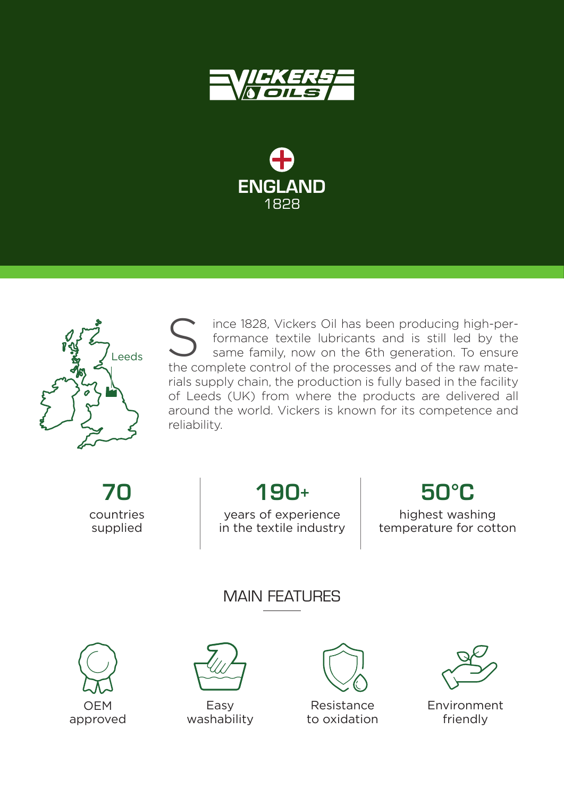





ince 1828, Vickers Oil has been producing high-performance textile lubricants and is still led by the same family, now on the 6th generation. To ensure Solid has been producing high-per-<br>formance textile lubricants and is still led by the<br>same family, now on the 6th generation. To ensure<br>the complete control of the processes and of the raw materials supply chain, the production is fully based in the facility of Leeds (UK) from where the products are delivered all around the world. Vickers is known for its competence and reliability.

70 countries supplied

190+

50°C

years of experience in the textile industry

highest washing temperature for cotton

# MAIN FFATI IRFS





Easy washability



Resistance to oxidation



Environment friendly